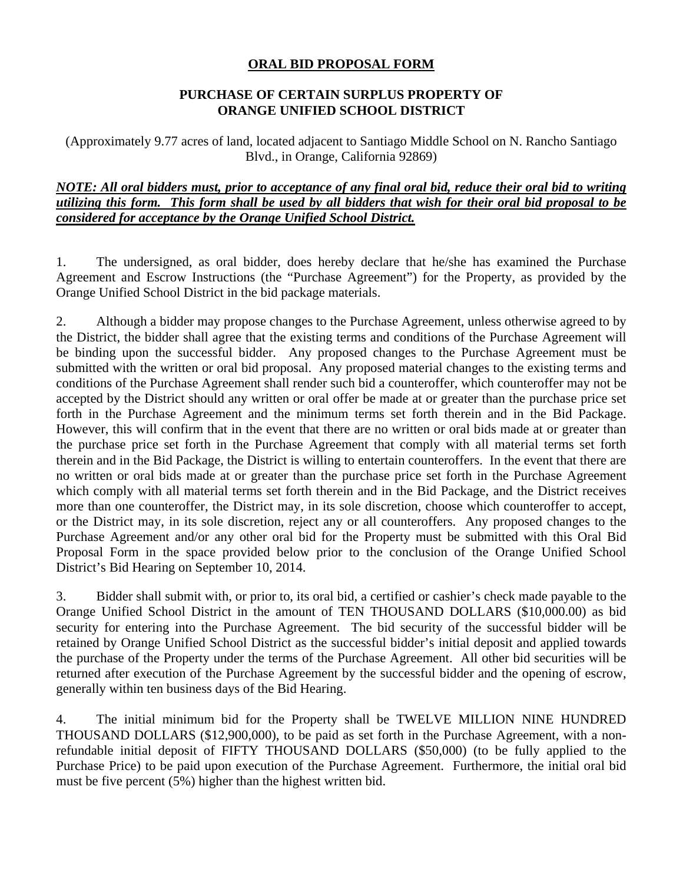## **ORAL BID PROPOSAL FORM**

## **PURCHASE OF CERTAIN SURPLUS PROPERTY OF ORANGE UNIFIED SCHOOL DISTRICT**

(Approximately 9.77 acres of land, located adjacent to Santiago Middle School on N. Rancho Santiago Blvd., in Orange, California 92869)

## *NOTE: All oral bidders must, prior to acceptance of any final oral bid, reduce their oral bid to writing utilizing this form. This form shall be used by all bidders that wish for their oral bid proposal to be considered for acceptance by the Orange Unified School District.*

1. The undersigned, as oral bidder, does hereby declare that he/she has examined the Purchase Agreement and Escrow Instructions (the "Purchase Agreement") for the Property, as provided by the Orange Unified School District in the bid package materials.

2. Although a bidder may propose changes to the Purchase Agreement, unless otherwise agreed to by the District, the bidder shall agree that the existing terms and conditions of the Purchase Agreement will be binding upon the successful bidder. Any proposed changes to the Purchase Agreement must be submitted with the written or oral bid proposal. Any proposed material changes to the existing terms and conditions of the Purchase Agreement shall render such bid a counteroffer, which counteroffer may not be accepted by the District should any written or oral offer be made at or greater than the purchase price set forth in the Purchase Agreement and the minimum terms set forth therein and in the Bid Package. However, this will confirm that in the event that there are no written or oral bids made at or greater than the purchase price set forth in the Purchase Agreement that comply with all material terms set forth therein and in the Bid Package, the District is willing to entertain counteroffers. In the event that there are no written or oral bids made at or greater than the purchase price set forth in the Purchase Agreement which comply with all material terms set forth therein and in the Bid Package, and the District receives more than one counteroffer, the District may, in its sole discretion, choose which counteroffer to accept, or the District may, in its sole discretion, reject any or all counteroffers. Any proposed changes to the Purchase Agreement and/or any other oral bid for the Property must be submitted with this Oral Bid Proposal Form in the space provided below prior to the conclusion of the Orange Unified School District's Bid Hearing on September 10, 2014.

3. Bidder shall submit with, or prior to, its oral bid, a certified or cashier's check made payable to the Orange Unified School District in the amount of TEN THOUSAND DOLLARS (\$10,000.00) as bid security for entering into the Purchase Agreement. The bid security of the successful bidder will be retained by Orange Unified School District as the successful bidder's initial deposit and applied towards the purchase of the Property under the terms of the Purchase Agreement. All other bid securities will be returned after execution of the Purchase Agreement by the successful bidder and the opening of escrow, generally within ten business days of the Bid Hearing.

4. The initial minimum bid for the Property shall be TWELVE MILLION NINE HUNDRED THOUSAND DOLLARS (\$12,900,000), to be paid as set forth in the Purchase Agreement, with a nonrefundable initial deposit of FIFTY THOUSAND DOLLARS (\$50,000) (to be fully applied to the Purchase Price) to be paid upon execution of the Purchase Agreement. Furthermore, the initial oral bid must be five percent (5%) higher than the highest written bid.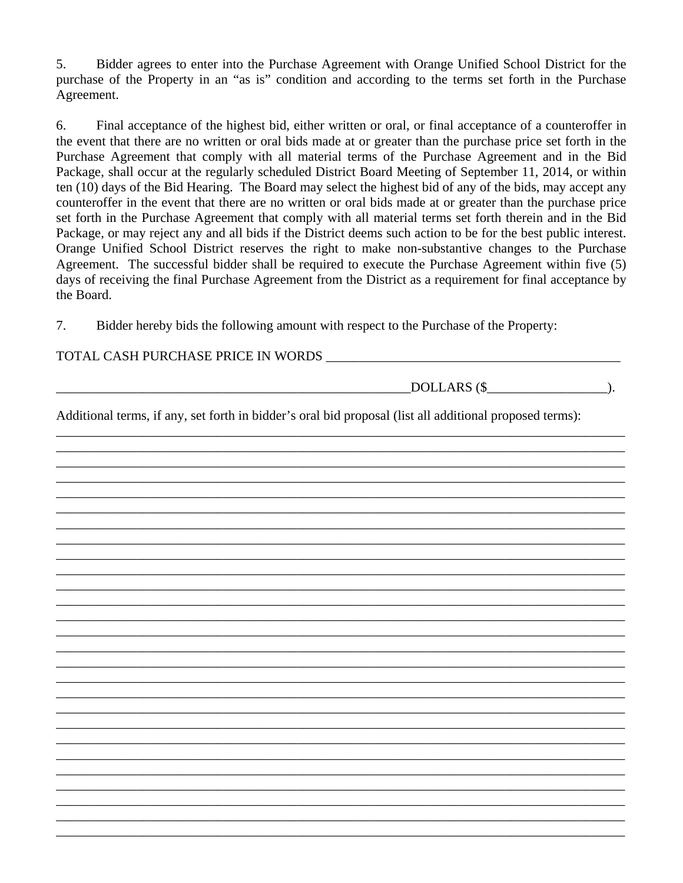5. Bidder agrees to enter into the Purchase Agreement with Orange Unified School District for the purchase of the Property in an "as is" condition and according to the terms set forth in the Purchase Agreement.

6. Final acceptance of the highest bid, either written or oral, or final acceptance of a counteroffer in the event that there are no written or oral bids made at or greater than the purchase price set forth in the Purchase Agreement that comply with all material terms of the Purchase Agreement and in the Bid Package, shall occur at the regularly scheduled District Board Meeting of September 11, 2014, or within ten (10) days of the Bid Hearing. The Board may select the highest bid of any of the bids, may accept any counteroffer in the event that there are no written or oral bids made at or greater than the purchase price set forth in the Purchase Agreement that comply with all material terms set forth therein and in the Bid Package, or may reject any and all bids if the District deems such action to be for the best public interest. Orange Unified School District reserves the right to make non-substantive changes to the Purchase Agreement. The successful bidder shall be required to execute the Purchase Agreement within five (5) days of receiving the final Purchase Agreement from the District as a requirement for final acceptance by the Board.

7. Bidder hereby bids the following amount with respect to the Purchase of the Property:

## TOTAL CASH PURCHASE PRICE IN WORDS \_\_\_\_\_\_\_\_\_\_\_\_\_\_\_\_\_\_\_\_\_\_\_\_\_\_\_\_\_\_\_\_\_\_\_\_\_\_\_\_\_\_\_\_

| DOLLARS (\$<br>$\cdot$ .                                                                                |  |
|---------------------------------------------------------------------------------------------------------|--|
| Additional terms, if any, set forth in bidder's oral bid proposal (list all additional proposed terms): |  |
|                                                                                                         |  |
|                                                                                                         |  |
|                                                                                                         |  |
|                                                                                                         |  |
|                                                                                                         |  |
|                                                                                                         |  |
|                                                                                                         |  |
|                                                                                                         |  |
|                                                                                                         |  |
|                                                                                                         |  |
|                                                                                                         |  |
|                                                                                                         |  |
|                                                                                                         |  |